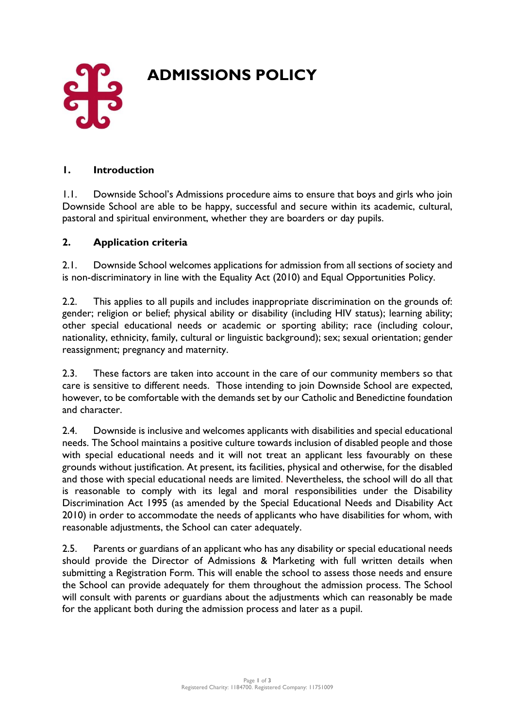

# **ADMISSIONS POLICY**

#### **1. Introduction**

1.1. Downside School's Admissions procedure aims to ensure that boys and girls who join Downside School are able to be happy, successful and secure within its academic, cultural, pastoral and spiritual environment, whether they are boarders or day pupils.

#### **2. Application criteria**

2.1. Downside School welcomes applications for admission from all sections of society and is non-discriminatory in line with the Equality Act (2010) and Equal Opportunities Policy.

2.2. This applies to all pupils and includes inappropriate discrimination on the grounds of: gender; religion or belief; physical ability or disability (including HIV status); learning ability; other special educational needs or academic or sporting ability; race (including colour, nationality, ethnicity, family, cultural or linguistic background); sex; sexual orientation; gender reassignment; pregnancy and maternity.

2.3. These factors are taken into account in the care of our community members so that care is sensitive to different needs. Those intending to join Downside School are expected, however, to be comfortable with the demands set by our Catholic and Benedictine foundation and character.

2.4. Downside is inclusive and welcomes applicants with disabilities and special educational needs. The School maintains a positive culture towards inclusion of disabled people and those with special educational needs and it will not treat an applicant less favourably on these grounds without justification. At present, its facilities, physical and otherwise, for the disabled and those with special educational needs are limited. Nevertheless, the school will do all that is reasonable to comply with its legal and moral responsibilities under the Disability Discrimination Act 1995 (as amended by the Special Educational Needs and Disability Act 2010) in order to accommodate the needs of applicants who have disabilities for whom, with reasonable adjustments, the School can cater adequately.

2.5. Parents or guardians of an applicant who has any disability or special educational needs should provide the Director of Admissions & Marketing with full written details when submitting a Registration Form. This will enable the school to assess those needs and ensure the School can provide adequately for them throughout the admission process. The School will consult with parents or guardians about the adjustments which can reasonably be made for the applicant both during the admission process and later as a pupil.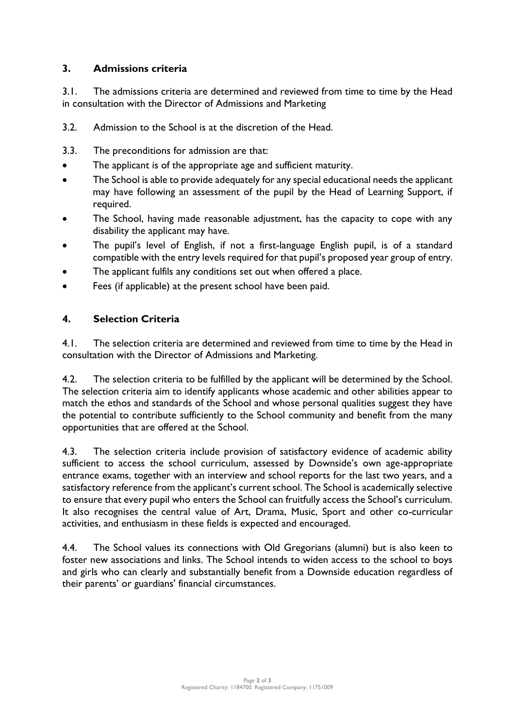## **3. Admissions criteria**

3.1. The admissions criteria are determined and reviewed from time to time by the Head in consultation with the Director of Admissions and Marketing

- 3.2. Admission to the School is at the discretion of the Head.
- 3.3. The preconditions for admission are that:
- The applicant is of the appropriate age and sufficient maturity.
- The School is able to provide adequately for any special educational needs the applicant may have following an assessment of the pupil by the Head of Learning Support, if required.
- The School, having made reasonable adjustment, has the capacity to cope with any disability the applicant may have.
- The pupil's level of English, if not a first-language English pupil, is of a standard compatible with the entry levels required for that pupil's proposed year group of entry.
- The applicant fulfils any conditions set out when offered a place.
- Fees (if applicable) at the present school have been paid.

#### **4. Selection Criteria**

4.1. The selection criteria are determined and reviewed from time to time by the Head in consultation with the Director of Admissions and Marketing.

4.2. The selection criteria to be fulfilled by the applicant will be determined by the School. The selection criteria aim to identify applicants whose academic and other abilities appear to match the ethos and standards of the School and whose personal qualities suggest they have the potential to contribute sufficiently to the School community and benefit from the many opportunities that are offered at the School.

4.3. The selection criteria include provision of satisfactory evidence of academic ability sufficient to access the school curriculum, assessed by Downside's own age-appropriate entrance exams, together with an interview and school reports for the last two years, and a satisfactory reference from the applicant's current school. The School is academically selective to ensure that every pupil who enters the School can fruitfully access the School's curriculum. It also recognises the central value of Art, Drama, Music, Sport and other co-curricular activities, and enthusiasm in these fields is expected and encouraged.

4.4. The School values its connections with Old Gregorians (alumni) but is also keen to foster new associations and links. The School intends to widen access to the school to boys and girls who can clearly and substantially benefit from a Downside education regardless of their parents' or guardians' financial circumstances.